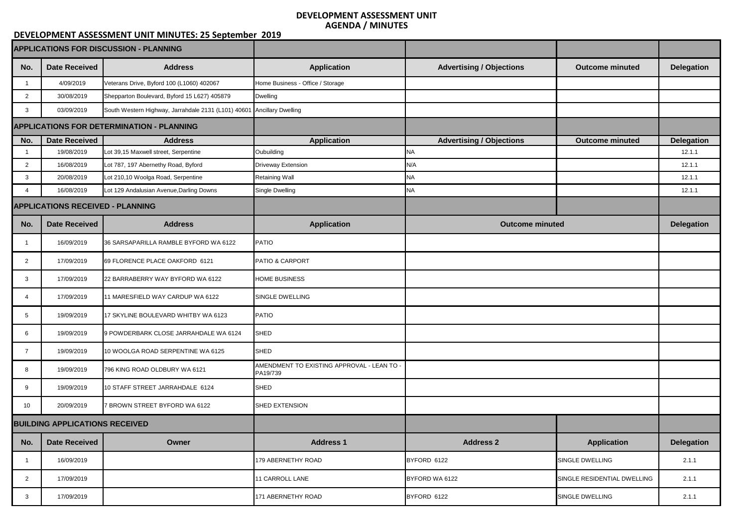| <b>APPLICATIONS FOR DISCUSSION - PLANNING</b> |                                                  |                                                                        |                                                        |                                 |                             |                   |
|-----------------------------------------------|--------------------------------------------------|------------------------------------------------------------------------|--------------------------------------------------------|---------------------------------|-----------------------------|-------------------|
| No.                                           | <b>Date Received</b>                             | <b>Address</b>                                                         | <b>Application</b>                                     | <b>Advertising / Objections</b> | <b>Outcome minuted</b>      | <b>Delegation</b> |
|                                               | 4/09/2019                                        | Veterans Drive, Byford 100 (L1060) 402067                              | Home Business - Office / Storage                       |                                 |                             |                   |
| $\overline{2}$                                | 30/08/2019                                       | Shepparton Boulevard, Byford 15 L627) 405879                           | <b>Dwelling</b>                                        |                                 |                             |                   |
| 3                                             | 03/09/2019                                       | South Western Highway, Jarrahdale 2131 (L101) 40601 Ancillary Dwelling |                                                        |                                 |                             |                   |
|                                               | <b>APPLICATIONS FOR DETERMINATION - PLANNING</b> |                                                                        |                                                        |                                 |                             |                   |
| No.                                           | <b>Date Received</b>                             | <b>Address</b>                                                         | <b>Application</b>                                     | <b>Advertising / Objections</b> | <b>Outcome minuted</b>      | <b>Delegation</b> |
|                                               | 19/08/2019                                       | Lot 39,15 Maxwell street, Serpentine                                   | Oubuilding                                             | NA                              |                             | 12.1.1            |
| $\overline{2}$                                | 16/08/2019                                       | Lot 787, 197 Abernethy Road, Byford                                    | <b>Driveway Extension</b>                              | N/A                             |                             | 12.1.1            |
| 3                                             | 20/08/2019                                       | Lot 210,10 Woolga Road, Serpentine                                     | <b>Retaining Wall</b>                                  | NA                              |                             | 12.1.1            |
|                                               | 16/08/2019                                       | Lot 129 Andalusian Avenue, Darling Downs                               | Single Dwelling                                        | NA                              |                             | 12.1.1            |
| <b>APPLICATIONS RECEIVED - PLANNING</b>       |                                                  |                                                                        |                                                        |                                 |                             |                   |
| No.                                           | <b>Date Received</b>                             | <b>Address</b>                                                         | <b>Application</b>                                     | <b>Outcome minuted</b>          |                             | <b>Delegation</b> |
|                                               | 16/09/2019                                       | 36 SARSAPARILLA RAMBLE BYFORD WA 6122                                  | <b>PATIO</b>                                           |                                 |                             |                   |
| $\overline{2}$                                | 17/09/2019                                       | 69 FLORENCE PLACE OAKFORD 6121                                         | <b>PATIO &amp; CARPORT</b>                             |                                 |                             |                   |
|                                               | 17/09/2019                                       | 22 BARRABERRY WAY BYFORD WA 6122                                       | <b>HOME BUSINESS</b>                                   |                                 |                             |                   |
| 4                                             | 17/09/2019                                       | 11 MARESFIELD WAY CARDUP WA 6122                                       | <b>SINGLE DWELLING</b>                                 |                                 |                             |                   |
| 5                                             | 19/09/2019                                       | 17 SKYLINE BOULEVARD WHITBY WA 6123                                    | <b>PATIO</b>                                           |                                 |                             |                   |
| 6                                             | 19/09/2019                                       | 9 POWDERBARK CLOSE JARRAHDALE WA 6124                                  | SHED                                                   |                                 |                             |                   |
| 7                                             | 19/09/2019                                       | 10 WOOLGA ROAD SERPENTINE WA 6125                                      | <b>SHED</b>                                            |                                 |                             |                   |
| 8                                             | 19/09/2019                                       | 796 KING ROAD OLDBURY WA 6121                                          | AMENDMENT TO EXISTING APPROVAL - LEAN TO -<br>PA19/739 |                                 |                             |                   |
| 9                                             | 19/09/2019                                       | 10 STAFF STREET JARRAHDALE 6124                                        | <b>SHED</b>                                            |                                 |                             |                   |
| 10 <sup>°</sup>                               | 20/09/2019                                       | 7 BROWN STREET BYFORD WA 6122                                          | <b>SHED EXTENSION</b>                                  |                                 |                             |                   |
| <b>BUILDING APPLICATIONS RECEIVED</b>         |                                                  |                                                                        |                                                        |                                 |                             |                   |
| No.                                           | <b>Date Received</b>                             | <b>Owner</b>                                                           | <b>Address 1</b>                                       | <b>Address 2</b>                | <b>Application</b>          | <b>Delegation</b> |
|                                               | 16/09/2019                                       |                                                                        | 179 ABERNETHY ROAD                                     | BYFORD 6122                     | <b>SINGLE DWELLING</b>      | 2.1.1             |
| $\overline{2}$                                | 17/09/2019                                       |                                                                        | 11 CARROLL LANE                                        | BYFORD WA 6122                  | SINGLE RESIDENTIAL DWELLING | 2.1.1             |
| 3                                             | 17/09/2019                                       |                                                                        | 171 ABERNETHY ROAD                                     | BYFORD 6122                     | SINGLE DWELLING             | 2.1.1             |

## **DEVELOPMENT ASSESSMENT UNIT AGENDA / MINUTES**

## **DEVELOPMENT ASSESSMENT UNIT MINUTES: 25 September 2019**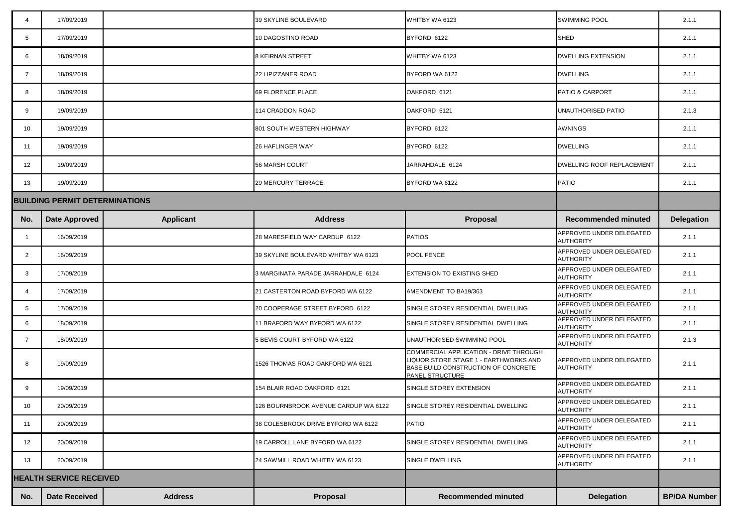|                                       | 17/09/2019           |                  | 39 SKYLINE BOULEVARD                 | WHITBY WA 6123                                                                                                                                          | <b>SWIMMING POOL</b>                                | 2.1.1               |
|---------------------------------------|----------------------|------------------|--------------------------------------|---------------------------------------------------------------------------------------------------------------------------------------------------------|-----------------------------------------------------|---------------------|
| 5                                     | 17/09/2019           |                  | 10 DAGOSTINO ROAD                    | BYFORD 6122                                                                                                                                             | <b>SHED</b>                                         | 2.1.1               |
| 6                                     | 18/09/2019           |                  | <b>8 KEIRNAN STREET</b>              | WHITBY WA 6123                                                                                                                                          | <b>DWELLING EXTENSION</b>                           | 2.1.1               |
|                                       | 18/09/2019           |                  | 22 LIPIZZANER ROAD                   | BYFORD WA 6122                                                                                                                                          | <b>DWELLING</b>                                     | 2.1.1               |
| 8                                     | 18/09/2019           |                  | 69 FLORENCE PLACE                    | OAKFORD 6121                                                                                                                                            | <b>PATIO &amp; CARPORT</b>                          | 2.1.1               |
| 9                                     | 19/09/2019           |                  | 114 CRADDON ROAD                     | OAKFORD 6121                                                                                                                                            | UNAUTHORISED PATIO                                  | 2.1.3               |
| 10 <sup>°</sup>                       | 19/09/2019           |                  | 801 SOUTH WESTERN HIGHWAY            | BYFORD 6122                                                                                                                                             | <b>AWNINGS</b>                                      | 2.1.1               |
| 11                                    | 19/09/2019           |                  | <b>26 HAFLINGER WAY</b>              | BYFORD 6122                                                                                                                                             | <b>DWELLING</b>                                     | 2.1.1               |
| 12                                    | 19/09/2019           |                  | <b>56 MARSH COURT</b>                | JARRAHDALE 6124                                                                                                                                         | <b>DWELLING ROOF REPLACEMENT</b>                    | 2.1.1               |
| 13                                    | 19/09/2019           |                  | <b>29 MERCURY TERRACE</b>            | BYFORD WA 6122                                                                                                                                          | PATIO                                               | 2.1.1               |
| <b>BUILDING PERMIT DETERMINATIONS</b> |                      |                  |                                      |                                                                                                                                                         |                                                     |                     |
| No.                                   | <b>Date Approved</b> | <b>Applicant</b> | <b>Address</b>                       | Proposal                                                                                                                                                | <b>Recommended minuted</b>                          | <b>Delegation</b>   |
|                                       | 16/09/2019           |                  | 28 MARESFIELD WAY CARDUP 6122        | <b>PATIOS</b>                                                                                                                                           | APPROVED UNDER DELEGATED<br><b>AUTHORITY</b>        | 2.1.1               |
|                                       | 16/09/2019           |                  | 39 SKYLINE BOULEVARD WHITBY WA 6123  | <b>POOL FENCE</b>                                                                                                                                       | <b>APPROVED UNDER DELEGATED</b><br><b>AUTHORITY</b> | 2.1.1               |
| 3                                     | 17/09/2019           |                  | 3 MARGINATA PARADE JARRAHDALE 6124   | <b>EXTENSION TO EXISTING SHED</b>                                                                                                                       | APPROVED UNDER DELEGATED<br><b>AUTHORITY</b>        | 2.1.1               |
|                                       | 17/09/2019           |                  | 21 CASTERTON ROAD BYFORD WA 6122     | AMENDMENT TO BA19/363                                                                                                                                   | APPROVED UNDER DELEGATED<br><b>AUTHORITY</b>        | 2.1.1               |
| 5                                     | 17/09/2019           |                  | 20 COOPERAGE STREET BYFORD 6122      | SINGLE STOREY RESIDENTIAL DWELLING                                                                                                                      | APPROVED UNDER DELEGATED<br><b>AUTHORITY</b>        | 2.1.1               |
| 6                                     | 18/09/2019           |                  | 11 BRAFORD WAY BYFORD WA 6122        | SINGLE STOREY RESIDENTIAL DWELLING                                                                                                                      | APPROVED UNDER DELEGATED<br><b>AUTHORITY</b>        | 2.1.1               |
|                                       | 18/09/2019           |                  | 5 BEVIS COURT BYFORD WA 6122         | UNAUTHORISED SWIMMING POOL                                                                                                                              | APPROVED UNDER DELEGATED<br><b>AUTHORITY</b>        | 2.1.3               |
| 8                                     | 19/09/2019           |                  | 1526 THOMAS ROAD OAKFORD WA 6121     | <b>COMMERCIAL APPLICATION - DRIVE THROUGH</b><br>LIQUOR STORE STAGE 1 - EARTHWORKS AND<br>BASE BUILD CONSTRUCTION OF CONCRETE<br><b>PANEL STRUCTURE</b> | APPROVED UNDER DELEGATED<br><b>AUTHORITY</b>        | 2.1.1               |
| 9                                     | 19/09/2019           |                  | 154 BLAIR ROAD OAKFORD 6121          | SINGLE STOREY EXTENSION                                                                                                                                 | APPROVED UNDER DELEGATED<br><b>AUTHORITY</b>        | 2.1.1               |
| 10 <sup>°</sup>                       | 20/09/2019           |                  | 126 BOURNBROOK AVENUE CARDUP WA 6122 | SINGLE STOREY RESIDENTIAL DWELLING                                                                                                                      | APPROVED UNDER DELEGATED<br><b>AUTHORITY</b>        | 2.1.1               |
| 11                                    | 20/09/2019           |                  | 38 COLESBROOK DRIVE BYFORD WA 6122   | <b>PATIO</b>                                                                                                                                            | APPROVED UNDER DELEGATED<br><b>AUTHORITY</b>        | 2.1.1               |
| 12                                    | 20/09/2019           |                  | 19 CARROLL LANE BYFORD WA 6122       | SINGLE STOREY RESIDENTIAL DWELLING                                                                                                                      | APPROVED UNDER DELEGATED<br><b>AUTHORITY</b>        | 2.1.1               |
| 13                                    | 20/09/2019           |                  | 24 SAWMILL ROAD WHITBY WA 6123       | <b>SINGLE DWELLING</b>                                                                                                                                  | APPROVED UNDER DELEGATED<br><b>AUTHORITY</b>        | 2.1.1               |
| <b>HEALTH SERVICE RECEIVED</b>        |                      |                  |                                      |                                                                                                                                                         |                                                     |                     |
| No.                                   | <b>Date Received</b> | <b>Address</b>   | <b>Proposal</b>                      | <b>Recommended minuted</b>                                                                                                                              | <b>Delegation</b>                                   | <b>BP/DA Number</b> |